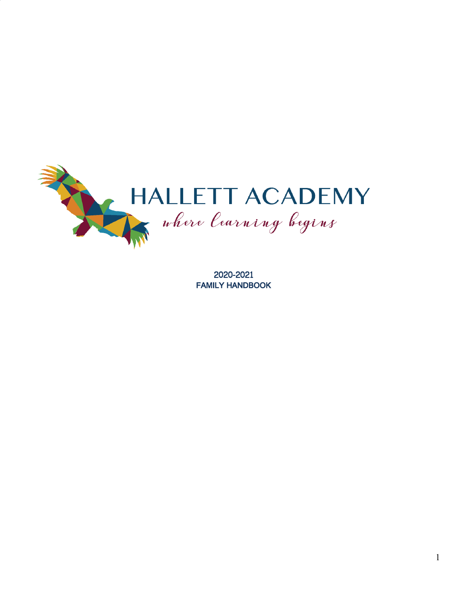

2020-2021 FAMILY HANDBOOK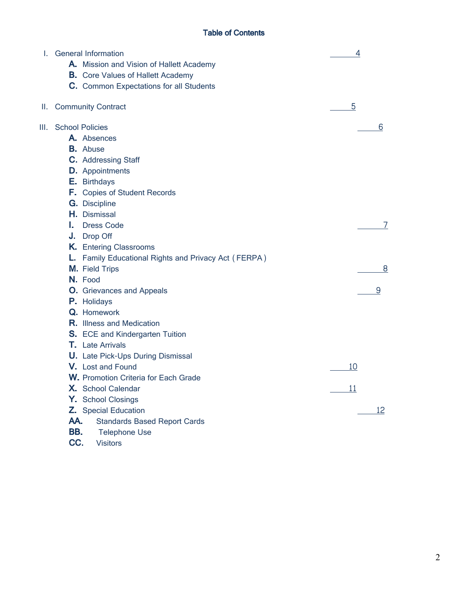# Table of Contents

| L. | <b>General Information</b>                           | 4  |
|----|------------------------------------------------------|----|
|    | A. Mission and Vision of Hallett Academy             |    |
|    | <b>B.</b> Core Values of Hallett Academy             |    |
|    | C. Common Expectations for all Students              |    |
|    | II. Community Contract                               | 5  |
| Ш. | <b>School Policies</b>                               | 6  |
|    | A. Absences                                          |    |
|    | <b>B.</b> Abuse                                      |    |
|    | C. Addressing Staff                                  |    |
|    | <b>D.</b> Appointments                               |    |
|    | E. Birthdays                                         |    |
|    | <b>F.</b> Copies of Student Records                  |    |
|    | <b>G.</b> Discipline                                 |    |
|    | H. Dismissal                                         |    |
|    | <b>Dress Code</b><br>Ι.                              | 7  |
|    | J. Drop Off                                          |    |
|    | <b>K.</b> Entering Classrooms                        |    |
|    | L. Family Educational Rights and Privacy Act (FERPA) |    |
|    | M. Field Trips                                       | 8  |
|    | N. Food                                              |    |
|    | <b>O.</b> Grievances and Appeals                     | 9  |
|    | P. Holidays                                          |    |
|    | Q. Homework                                          |    |
|    | <b>R.</b> Illness and Medication                     |    |
|    | S. ECE and Kindergarten Tuition                      |    |
|    | <b>T</b> Late Arrivals                               |    |
|    | <b>U.</b> Late Pick-Ups During Dismissal             |    |
|    | V. Lost and Found                                    | 10 |
|    | <b>W.</b> Promotion Criteria for Each Grade          |    |
|    | X. School Calendar                                   | 11 |
|    | Y. School Closings                                   |    |
|    | Z. Special Education                                 | 12 |
|    | AA.<br><b>Standards Based Report Cards</b>           |    |
|    | BB.<br><b>Telephone Use</b>                          |    |
|    | CC.<br><b>Visitors</b>                               |    |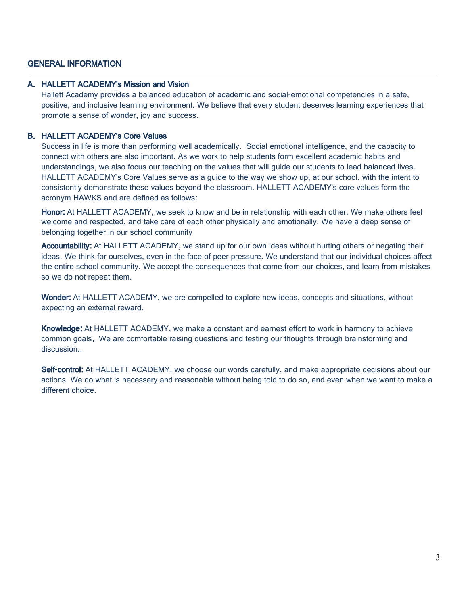## GENERAL INFORMATION

### A. HALLETT ACADEMY's Mission and Vision

Hallett Academy provides a balanced education of academic and social-emotional competencies in a safe, positive, and inclusive learning environment. We believe that every student deserves learning experiences that promote a sense of wonder, joy and success.

### B. HALLETT ACADEMY's Core Values

Success in life is more than performing well academically. Social emotional intelligence, and the capacity to connect with others are also important. As we work to help students form excellent academic habits and understandings, we also focus our teaching on the values that will guide our students to lead balanced lives. HALLETT ACADEMY's Core Values serve as a guide to the way we show up, at our school, with the intent to consistently demonstrate these values beyond the classroom. HALLETT ACADEMY's core values form the acronym HAWKS and are defined as follows:

Honor: At HALLETT ACADEMY, we seek to know and be in relationship with each other. We make others feel welcome and respected, and take care of each other physically and emotionally. We have a deep sense of belonging together in our school community

Accountability: At HALLETT ACADEMY, we stand up for our own ideas without hurting others or negating their ideas. We think for ourselves, even in the face of peer pressure. We understand that our individual choices affect the entire school community. We accept the consequences that come from our choices, and learn from mistakes so we do not repeat them.

Wonder: At HALLETT ACADEMY, we are compelled to explore new ideas, concepts and situations, without expecting an external reward.

Knowledge: At HALLETT ACADEMY, we make a constant and earnest effort to work in harmony to achieve common goals. We are comfortable raising questions and testing our thoughts through brainstorming and discussion..

Self-control: At HALLETT ACADEMY, we choose our words carefully, and make appropriate decisions about our actions. We do what is necessary and reasonable without being told to do so, and even when we want to make a different choice.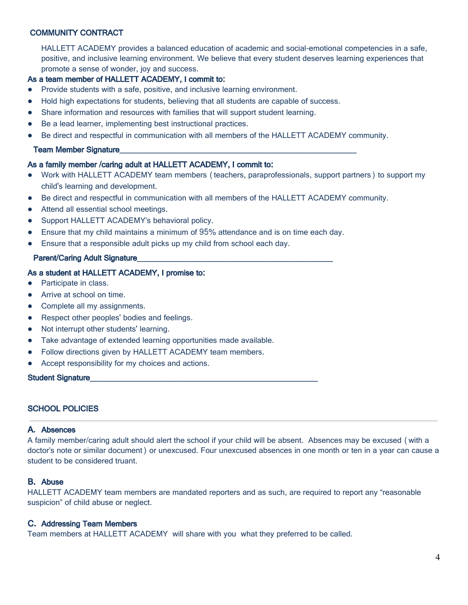## COMMUNITY CONTRACT

HALLETT ACADEMY provides a balanced education of academic and social-emotional competencies in a safe, positive, and inclusive learning environment. We believe that every student deserves learning experiences that promote a sense of wonder, joy and success.

## As a team member of HALLETT ACADEMY, I commit to:

- Provide students with a safe, positive, and inclusive learning environment.
- Hold high expectations for students, believing that all students are capable of success.
- Share information and resources with families that will support student learning.
- Be a lead learner, implementing best instructional practices.
- Be direct and respectful in communication with all members of the HALLETT ACADEMY community.

#### Team Member Signature\_\_\_\_\_\_\_\_\_\_\_\_\_\_\_\_\_\_\_\_\_\_\_\_\_\_\_\_\_\_\_\_\_\_\_\_\_\_\_\_\_\_\_\_\_\_\_\_\_\_\_\_

#### As a family member /caring adult at HALLETT ACADEMY, I commit to:

- Work with HALLETT ACADEMY team members (teachers, paraprofessionals, support partners) to support my child's learning and development.
- Be direct and respectful in communication with all members of the HALLETT ACADEMY community.
- Attend all essential school meetings.
- Support HALLETT ACADEMY's behavioral policy.
- Ensure that my child maintains a minimum of 95% attendance and is on time each day.
- Ensure that a responsible adult picks up my child from school each day.

#### Parent/Caring Adult Signature

### As a student at HALLETT ACADEMY, I promise to:

- Participate in class.
- Arrive at school on time.
- Complete all my assignments.
- Respect other peoples' bodies and feelings.
- Not interrupt other students' learning.
- Take advantage of extended learning opportunities made available.
- Follow directions given by HALLETT ACADEMY team members.
- Accept responsibility for my choices and actions.

Student Signature

### SCHOOL POLICIES

#### A. Absences

A family member/caring adult should alert the school if your child will be absent. Absences may be excused (with a doctor's note or similar document) or unexcused. Four unexcused absences in one month or ten in a year can cause a student to be considered truant.

#### B. Abuse

HALLETT ACADEMY team members are mandated reporters and as such, are required to report any "reasonable suspicion" of child abuse or neglect.

### C. Addressing Team Members

Team members at HALLETT ACADEMY will share with you what they preferred to be called.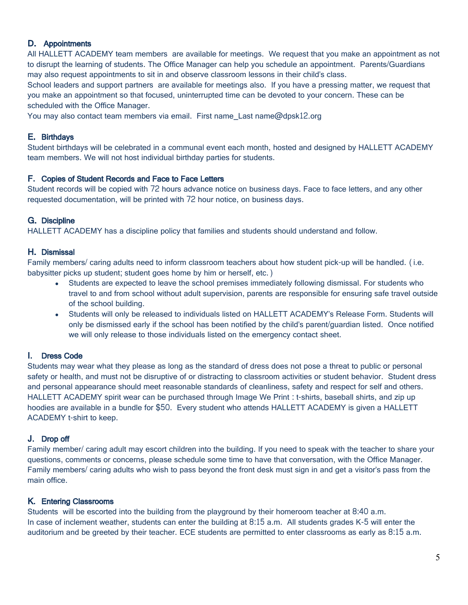## D. Appointments

All HALLETT ACADEMY team members are available for meetings. We request that you make an appointment as not to disrupt the learning of students. The Office Manager can help you schedule an appointment. Parents/Guardians may also request appointments to sit in and observe classroom lessons in their child's class.

School leaders and support partners are available for meetings also. If you have a pressing matter, we request that you make an appointment so that focused, uninterrupted time can be devoted to your concern. These can be scheduled with the Office Manager.

You may also contact team members via email. First name Last name@dpsk12.org

## E. Birthdays

Student birthdays will be celebrated in a communal event each month, hosted and designed by HALLETT ACADEMY team members. We will not host individual birthday parties for students.

### F. Copies of Student Records and Face to Face Letters

Student records will be copied with 72 hours advance notice on business days. Face to face letters, and any other requested documentation, will be printed with 72 hour notice, on business days.

### G. Discipline

HALLETT ACADEMY has a discipline policy that families and students should understand and follow.

### H. Dismissal

Family members/ caring adults need to inform classroom teachers about how student pick-up will be handled. (i.e. babysitter picks up student; student goes home by him or herself, etc.)

- Students are expected to leave the school premises immediately following dismissal. For students who travel to and from school without adult supervision, parents are responsible for ensuring safe travel outside of the school building.
- Students will only be released to individuals listed on HALLETT ACADEMY's Release Form. Students will only be dismissed early if the school has been notified by the child's parent/guardian listed. Once notified we will only release to those individuals listed on the emergency contact sheet.

### I. Dress Code

Students may wear what they please as long as the standard of dress does not pose a threat to public or personal safety or health, and must not be disruptive of or distracting to classroom activities or student behavior. Student dress and personal appearance should meet reasonable standards of cleanliness, safety and respect for self and others. HALLETT ACADEMY spirit wear can be purchased through Image We Print : t-shirts, baseball shirts, and zip up hoodies are available in a bundle for \$50. Every student who attends HALLETT ACADEMY is given a HALLETT ACADEMY t-shirt to keep.

### J. Drop off

Family member/ caring adult may escort children into the building. If you need to speak with the teacher to share your questions, comments or concerns, please schedule some time to have that conversation, with the Office Manager. Family members/ caring adults who wish to pass beyond the front desk must sign in and get a visitor's pass from the main office.

### K. Entering Classrooms

Students will be escorted into the building from the playground by their homeroom teacher at 8:40 a.m. In case of inclement weather, students can enter the building at 8:15 a.m. All students grades K-5 will enter the auditorium and be greeted by their teacher. ECE students are permitted to enter classrooms as early as 8:15 a.m.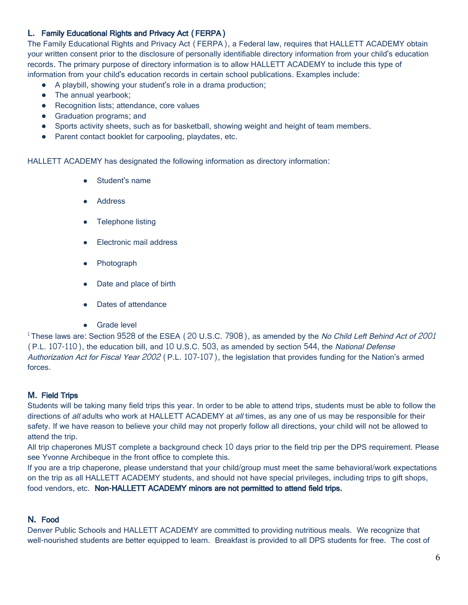# L. Family Educational Rights and Privacy Act (FERPA)

The Family Educational Rights and Privacy Act (FERPA), a Federal law, requires that HALLETT ACADEMY obtain your written consent prior to the disclosure of personally identifiable directory information from your child's education records. The primary purpose of directory information is to allow HALLETT ACADEMY to include this type of information from your child's education records in certain school publications. Examples include:

- A playbill, showing your student's role in a drama production;
- The annual yearbook;
- Recognition lists; attendance, core values
- Graduation programs; and
- Sports activity sheets, such as for basketball, showing weight and height of team members.
- Parent contact booklet for carpooling, playdates, etc.

HALLETT ACADEMY has designated the following information as directory information:

- Student's name
- **Address**
- Telephone listing
- Electronic mail address
- Photograph
- Date and place of birth
- **Dates of attendance**
- Grade level

<sup>1</sup> These laws are: Section 9528 of the ESEA (20 U.S.C. 7908), as amended by the No Child Left Behind Act of 2001 (P.L. 107-110), the education bill, and 10 U.S.C. 503, as amended by section 544, the National Defense Authorization Act for Fiscal Year 2002 (P.L. 107-107), the legislation that provides funding for the Nation's armed forces.

# M. Field Trips

Students will be taking many field trips this year. In order to be able to attend trips, students must be able to follow the directions of all adults who work at HALLETT ACADEMY at all times, as any one of us may be responsible for their safety. If we have reason to believe your child may not properly follow all directions, your child will not be allowed to attend the trip.

All trip chaperones MUST complete a background check 10 days prior to the field trip per the DPS requirement. Please see Yvonne Archibeque in the front office to complete this.

If you are a trip chaperone, please understand that your child/group must meet the same behavioral/work expectations on the trip as all HALLETT ACADEMY students, and should not have special privileges, including trips to gift shops, food vendors, etc. Non-HALLETT ACADEMY minors are not permitted to attend field trips.

### N. Food

Denver Public Schools and HALLETT ACADEMY are committed to providing nutritious meals. We recognize that well-nourished students are better equipped to learn. Breakfast is provided to all DPS students for free. The cost of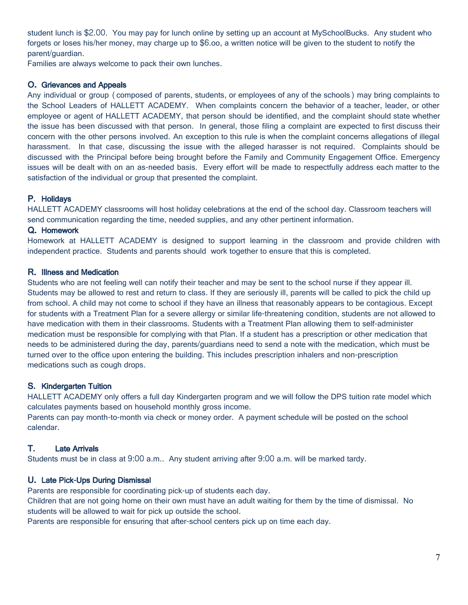student lunch is \$2.00. You may pay for lunch online by setting up an account at MySchoolBucks. Any student who forgets or loses his/her money, may charge up to \$6.oo, a written notice will be given to the student to notify the parent/guardian.

Families are always welcome to pack their own lunches.

## O. Grievances and Appeals

Any individual or group (composed of parents, students, or employees of any of the schools) may bring complaints to the School Leaders of HALLETT ACADEMY. When complaints concern the behavior of a teacher, leader, or other employee or agent of HALLETT ACADEMY, that person should be identified, and the complaint should state whether the issue has been discussed with that person. In general, those filing a complaint are expected to first discuss their concern with the other persons involved. An exception to this rule is when the complaint concerns allegations of illegal harassment. In that case, discussing the issue with the alleged harasser is not required. Complaints should be discussed with the Principal before being brought before the Family and Community Engagement Office. Emergency issues will be dealt with on an as-needed basis. Every effort will be made to respectfully address each matter to the satisfaction of the individual or group that presented the complaint.

## P. Holidays

HALLETT ACADEMY classrooms will host holiday celebrations at the end of the school day. Classroom teachers will send communication regarding the time, needed supplies, and any other pertinent information.

### Q. Homework

Homework at HALLETT ACADEMY is designed to support learning in the classroom and provide children with independent practice. Students and parents should work together to ensure that this is completed.

### R. Illness and Medication

Students who are not feeling well can notify their teacher and may be sent to the school nurse if they appear ill. Students may be allowed to rest and return to class. If they are seriously ill, parents will be called to pick the child up from school. A child may not come to school if they have an illness that reasonably appears to be contagious. Except for students with a Treatment Plan for a severe allergy or similar life-threatening condition, students are not allowed to have medication with them in their classrooms. Students with a Treatment Plan allowing them to self-administer medication must be responsible for complying with that Plan. If a student has a prescription or other medication that needs to be administered during the day, parents/guardians need to send a note with the medication, which must be turned over to the office upon entering the building. This includes prescription inhalers and non-prescription medications such as cough drops.

# S. Kindergarten Tuition

HALLETT ACADEMY only offers a full day Kindergarten program and we will follow the DPS tuition rate model which calculates payments based on household monthly gross income.

Parents can pay month-to-month via check or money order. A payment schedule will be posted on the school calendar.

# T. Late Arrivals

Students must be in class at 9:00 a.m.. Any student arriving after 9:00 a.m. will be marked tardy.

### U. Late Pick-Ups During Dismissal

Parents are responsible for coordinating pick-up of students each day.

Children that are not going home on their own must have an adult waiting for them by the time of dismissal. No students will be allowed to wait for pick up outside the school.

Parents are responsible for ensuring that after-school centers pick up on time each day.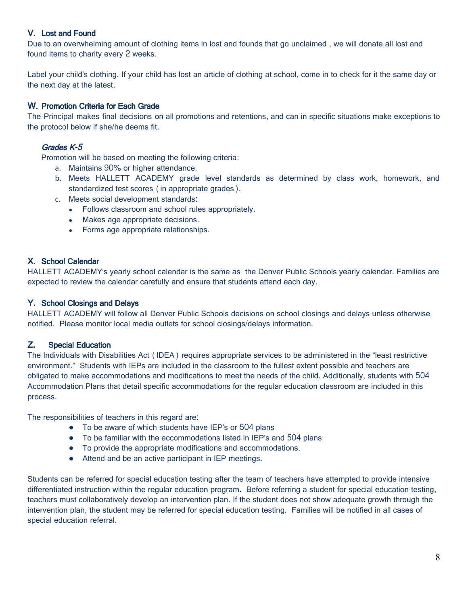# V. Lost and Found

Due to an overwhelming amount of clothing items in lost and founds that go unclaimed , we will donate all lost and found items to charity every 2 weeks.

Label your child's clothing. If your child has lost an article of clothing at school, come in to check for it the same day or the next day at the latest.

### W. Promotion Criteria for Each Grade

The Principal makes final decisions on all promotions and retentions, and can in specific situations make exceptions to the protocol below if she/he deems fit.

### Grades K-5

Promotion will be based on meeting the following criteria:

- a. Maintains 90% or higher attendance.
- b. Meets HALLETT ACADEMY grade level standards as determined by class work, homework, and standardized test scores (in appropriate grades).
- c. Meets social development standards:
	- Follows classroom and school rules appropriately.
	- Makes age appropriate decisions.
	- Forms age appropriate relationships.

## X. School Calendar

HALLETT ACADEMY's yearly school calendar is the same as the Denver Public Schools yearly calendar. Families are expected to review the calendar carefully and ensure that students attend each day.

### Y. School Closings and Delays

HALLETT ACADEMY will follow all Denver Public Schools decisions on school closings and delays unless otherwise notified. Please monitor local media outlets for school closings/delays information.

### Z. Special Education

The Individuals with Disabilities Act (IDEA) requires appropriate services to be administered in the "least restrictive environment." Students with IEPs are included in the classroom to the fullest extent possible and teachers are obligated to make accommodations and modifications to meet the needs of the child. Additionally, students with 504 Accommodation Plans that detail specific accommodations for the regular education classroom are included in this process.

The responsibilities of teachers in this regard are:

- To be aware of which students have IEP's or 504 plans
- To be familiar with the accommodations listed in IEP's and 504 plans
- To provide the appropriate modifications and accommodations.
- Attend and be an active participant in IEP meetings.

Students can be referred for special education testing after the team of teachers have attempted to provide intensive differentiated instruction within the regular education program. Before referring a student for special education testing, teachers must collaboratively develop an intervention plan. If the student does not show adequate growth through the intervention plan, the student may be referred for special education testing. Families will be notified in all cases of special education referral.